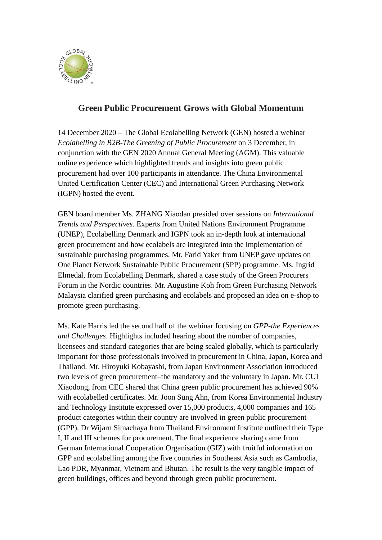

## **Green Public Procurement Grows with Global Momentum**

14 December 2020 – The Global Ecolabelling Network (GEN) hosted a webinar *Ecolabelling in B2B-The Greening of Public Procurement* on 3 December, in conjunction with the GEN 2020 Annual General Meeting (AGM). This valuable online experience which highlighted trends and insights into green public procurement had over 100 participants in attendance. The China Environmental United Certification Center (CEC) and International Green Purchasing Network (IGPN) hosted the event.

GEN board member Ms. ZHANG Xiaodan presided over sessions on *International Trends and Perspectives*. Experts from United Nations Environment Programme (UNEP), Ecolabelling Denmark and IGPN took an in-depth look at international green procurement and how ecolabels are integrated into the implementation of sustainable purchasing programmes. Mr. Farid Yaker from UNEP gave updates on One Planet Network Sustainable Public Procurement (SPP) programme. Ms. Ingrid Elmedal, from Ecolabelling Denmark, shared a case study of the Green Procurers Forum in the Nordic countries. Mr. Augustine Koh from Green Purchasing Network Malaysia clarified green purchasing and ecolabels and proposed an idea on e-shop to promote green purchasing.

Ms. Kate Harris led the second half of the webinar focusing on *GPP-the Experiences and Challenges*. Highlights included hearing about the number of companies, licensees and standard categories that are being scaled globally, which is particularly important for those professionals involved in procurement in China, Japan, Korea and Thailand. Mr. Hiroyuki Kobayashi, from Japan Environment Association introduced two levels of green procurement–the mandatory and the voluntary in Japan. Mr. CUI Xiaodong, from CEC shared that China green public procurement has achieved 90% with ecolabelled certificates. Mr. Joon Sung Ahn, from Korea Environmental Industry and Technology Institute expressed over 15,000 products, 4,000 companies and 165 product categories within their country are involved in green public procurement (GPP). Dr Wijarn Simachaya from Thailand Environment Institute outlined their Type I, II and III schemes for procurement. The final experience sharing came from German International Cooperation Organisation (GIZ) with fruitful information on GPP and ecolabelling among the five countries in Southeast Asia such as Cambodia, Lao PDR, Myanmar, Vietnam and Bhutan. The result is the very tangible impact of green buildings, offices and beyond through green public procurement.